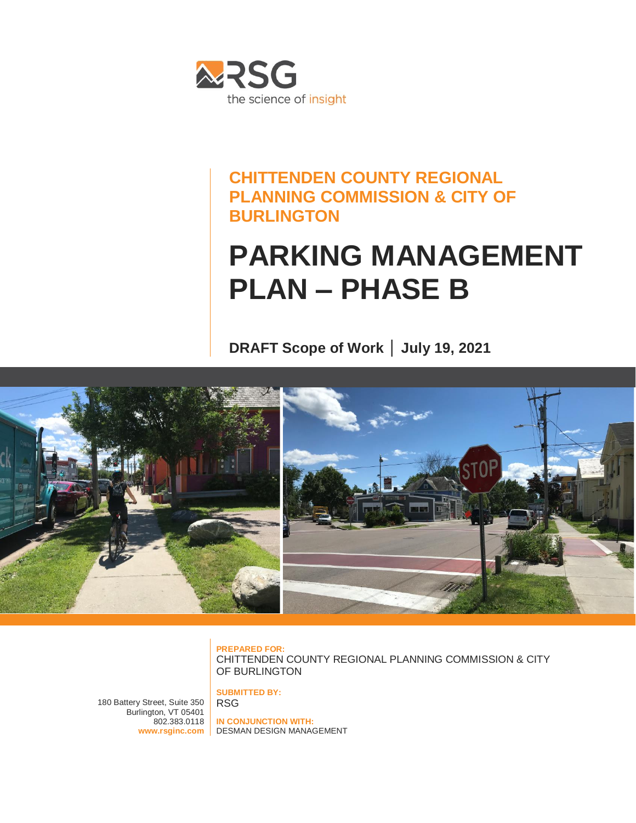

### **CHITTENDEN COUNTY REGIONAL PLANNING COMMISSION & CITY OF BURLINGTON**

## **PARKING MANAGEMENT PLAN – PHASE B**

**DRAFT Scope of Work │ July 19, 2021**



**PREPARED FOR:** CHITTENDEN COUNTY REGIONAL PLANNING COMMISSION & CITY OF BURLINGTON

180 Battery Street, Suite 350 Burlington, VT 05401  $802.383.0118$ 

**www.rsginc.com** DESMAN DESIGN MANAGEMENT**IN CONJUNCTION WITH:**

**SUBMITTED BY:**

RSG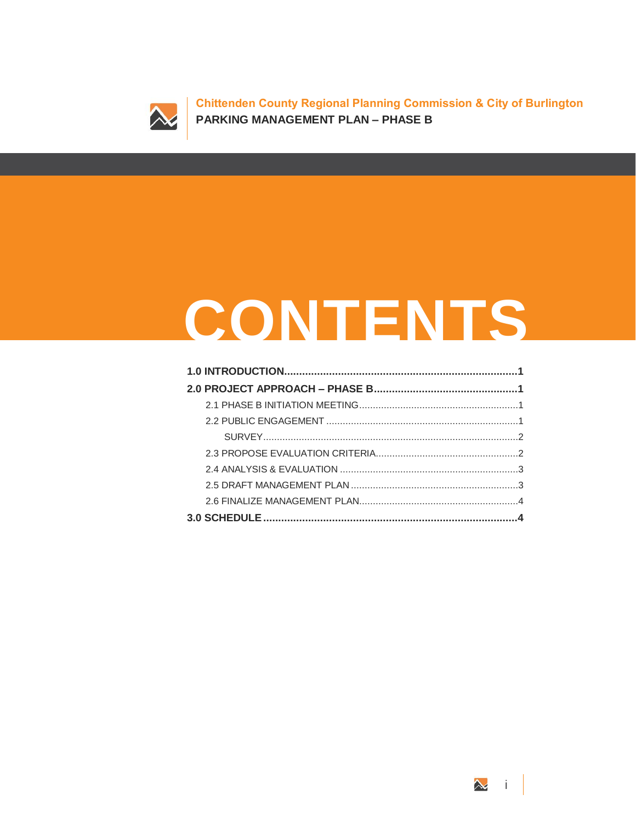

**Chittenden County Regional Planning Commission & City of Burlington PARKING MANAGEMENT PLAN – PHASE B**

# **CONTENTS**

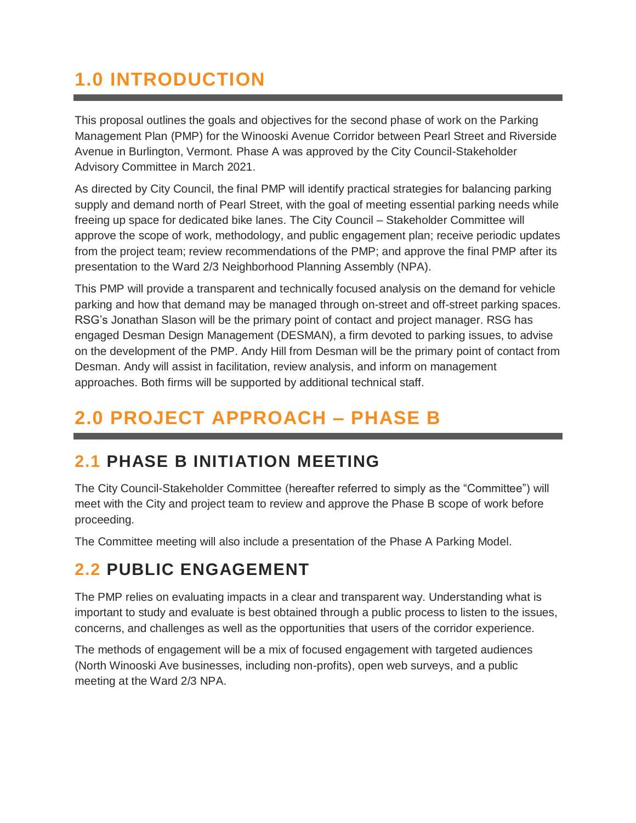## <span id="page-4-0"></span>**1.0 INTRODUCTION**

This proposal outlines the goals and objectives for the second phase of work on the Parking Management Plan (PMP) for the Winooski Avenue Corridor between Pearl Street and Riverside Avenue in Burlington, Vermont. Phase A was approved by the City Council-Stakeholder Advisory Committee in March 2021.

As directed by City Council, the final PMP will identify practical strategies for balancing parking supply and demand north of Pearl Street, with the goal of meeting essential parking needs while freeing up space for dedicated bike lanes. The City Council – Stakeholder Committee will approve the scope of work, methodology, and public engagement plan; receive periodic updates from the project team; review recommendations of the PMP; and approve the final PMP after its presentation to the Ward 2/3 Neighborhood Planning Assembly (NPA).

This PMP will provide a transparent and technically focused analysis on the demand for vehicle parking and how that demand may be managed through on-street and off-street parking spaces. RSG's Jonathan Slason will be the primary point of contact and project manager. RSG has engaged Desman Design Management (DESMAN), a firm devoted to parking issues, to advise on the development of the PMP. Andy Hill from Desman will be the primary point of contact from Desman. Andy will assist in facilitation, review analysis, and inform on management approaches. Both firms will be supported by additional technical staff.

## <span id="page-4-1"></span>**2.0 PROJECT APPROACH – PHASE B**

## <span id="page-4-2"></span>**2.1 PHASE B INITIATION MEETING**

The City Council-Stakeholder Committee (hereafter referred to simply as the "Committee") will meet with the City and project team to review and approve the Phase B scope of work before proceeding.

The Committee meeting will also include a presentation of the Phase A Parking Model.

## <span id="page-4-3"></span>**2.2 PUBLIC ENGAGEMENT**

The PMP relies on evaluating impacts in a clear and transparent way. Understanding what is important to study and evaluate is best obtained through a public process to listen to the issues, concerns, and challenges as well as the opportunities that users of the corridor experience.

The methods of engagement will be a mix of focused engagement with targeted audiences (North Winooski Ave businesses, including non-profits), open web surveys, and a public meeting at the Ward 2/3 NPA.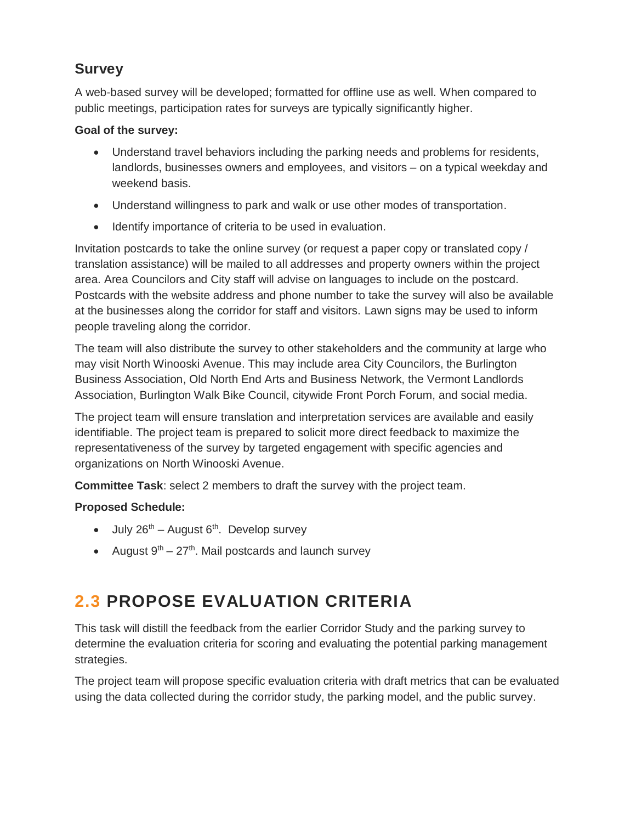#### <span id="page-5-0"></span>**Survey**

A web-based survey will be developed; formatted for offline use as well. When compared to public meetings, participation rates for surveys are typically significantly higher.

#### **Goal of the survey:**

- Understand travel behaviors including the parking needs and problems for residents, landlords, businesses owners and employees, and visitors – on a typical weekday and weekend basis.
- Understand willingness to park and walk or use other modes of transportation.
- Identify importance of criteria to be used in evaluation.

Invitation postcards to take the online survey (or request a paper copy or translated copy / translation assistance) will be mailed to all addresses and property owners within the project area. Area Councilors and City staff will advise on languages to include on the postcard. Postcards with the website address and phone number to take the survey will also be available at the businesses along the corridor for staff and visitors. Lawn signs may be used to inform people traveling along the corridor.

The team will also distribute the survey to other stakeholders and the community at large who may visit North Winooski Avenue. This may include area City Councilors, the Burlington Business Association, Old North End Arts and Business Network, the Vermont Landlords Association, Burlington Walk Bike Council, citywide Front Porch Forum, and social media.

The project team will ensure translation and interpretation services are available and easily identifiable. The project team is prepared to solicit more direct feedback to maximize the representativeness of the survey by targeted engagement with specific agencies and organizations on North Winooski Avenue.

**Committee Task**: select 2 members to draft the survey with the project team.

#### **Proposed Schedule:**

- $\bullet$  July 26<sup>th</sup> August 6<sup>th</sup>. Develop survey
- August  $9<sup>th</sup> 27<sup>th</sup>$ . Mail postcards and launch survey

## <span id="page-5-1"></span>**2.3 PROPOSE EVALUATION CRITERIA**

This task will distill the feedback from the earlier Corridor Study and the parking survey to determine the evaluation criteria for scoring and evaluating the potential parking management strategies.

The project team will propose specific evaluation criteria with draft metrics that can be evaluated using the data collected during the corridor study, the parking model, and the public survey.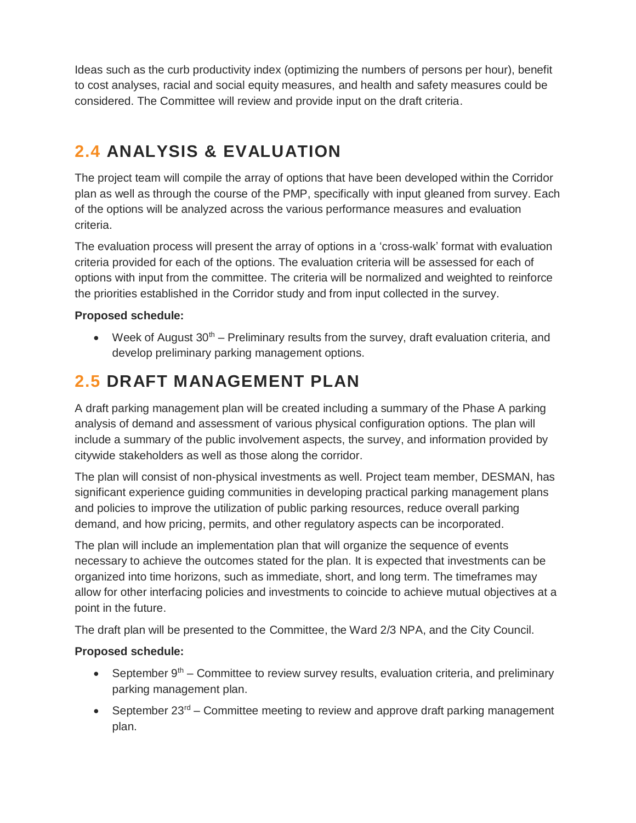Ideas such as the curb productivity index (optimizing the numbers of persons per hour), benefit to cost analyses, racial and social equity measures, and health and safety measures could be considered. The Committee will review and provide input on the draft criteria.

## <span id="page-6-0"></span>**2.4 ANALYSIS & EVALUATION**

The project team will compile the array of options that have been developed within the Corridor plan as well as through the course of the PMP, specifically with input gleaned from survey. Each of the options will be analyzed across the various performance measures and evaluation criteria.

The evaluation process will present the array of options in a 'cross-walk' format with evaluation criteria provided for each of the options. The evaluation criteria will be assessed for each of options with input from the committee. The criteria will be normalized and weighted to reinforce the priorities established in the Corridor study and from input collected in the survey.

#### **Proposed schedule:**

Week of August  $30<sup>th</sup>$  – Preliminary results from the survey, draft evaluation criteria, and develop preliminary parking management options.

## <span id="page-6-1"></span>**2.5 DRAFT MANAGEMENT PLAN**

A draft parking management plan will be created including a summary of the Phase A parking analysis of demand and assessment of various physical configuration options. The plan will include a summary of the public involvement aspects, the survey, and information provided by citywide stakeholders as well as those along the corridor.

The plan will consist of non-physical investments as well. Project team member, DESMAN, has significant experience guiding communities in developing practical parking management plans and policies to improve the utilization of public parking resources, reduce overall parking demand, and how pricing, permits, and other regulatory aspects can be incorporated.

The plan will include an implementation plan that will organize the sequence of events necessary to achieve the outcomes stated for the plan. It is expected that investments can be organized into time horizons, such as immediate, short, and long term. The timeframes may allow for other interfacing policies and investments to coincide to achieve mutual objectives at a point in the future.

The draft plan will be presented to the Committee, the Ward 2/3 NPA, and the City Council.

#### **Proposed schedule:**

- September  $9<sup>th</sup>$  Committee to review survey results, evaluation criteria, and preliminary parking management plan.
- September  $23^{\text{rd}}$  Committee meeting to review and approve draft parking management plan.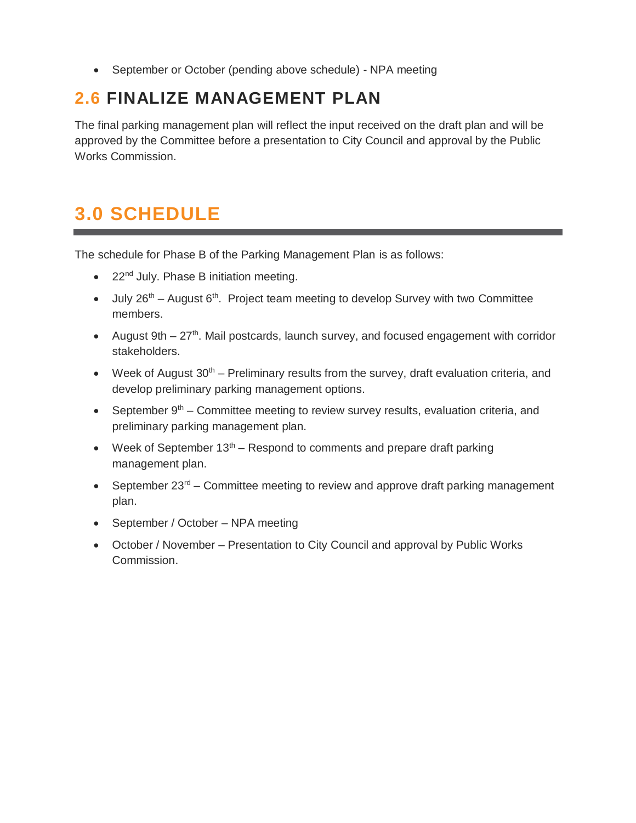September or October (pending above schedule) - NPA meeting

## <span id="page-7-0"></span>**2.6 FINALIZE MANAGEMENT PLAN**

The final parking management plan will reflect the input received on the draft plan and will be approved by the Committee before a presentation to City Council and approval by the Public Works Commission.

## <span id="page-7-1"></span>**3.0 SCHEDULE**

The schedule for Phase B of the Parking Management Plan is as follows:

- $\bullet$  22<sup>nd</sup> July. Phase B initiation meeting.
- $\bullet$  July 26<sup>th</sup> August 6<sup>th</sup>. Project team meeting to develop Survey with two Committee members.
- August  $9th 27<sup>th</sup>$ . Mail postcards, launch survey, and focused engagement with corridor stakeholders.
- Week of August  $30<sup>th</sup>$  Preliminary results from the survey, draft evaluation criteria, and develop preliminary parking management options.
- September  $9<sup>th</sup>$  Committee meeting to review survey results, evaluation criteria, and preliminary parking management plan.
- Week of September  $13<sup>th</sup>$  Respond to comments and prepare draft parking management plan.
- September  $23^{rd}$  Committee meeting to review and approve draft parking management plan.
- September / October NPA meeting
- October / November Presentation to City Council and approval by Public Works Commission.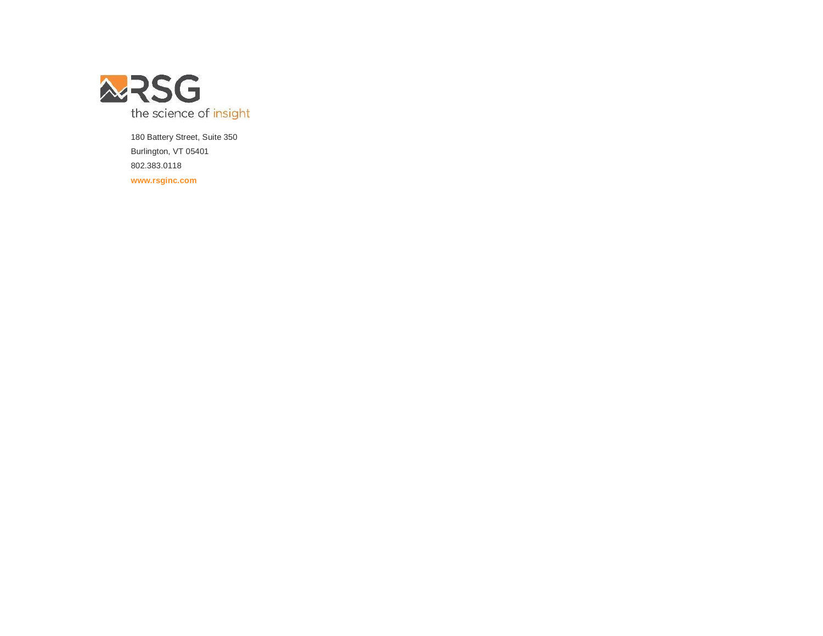

180 Battery Street, Suite 350 Burlington, VT 05401 802.383.0118 **www.rsginc.com**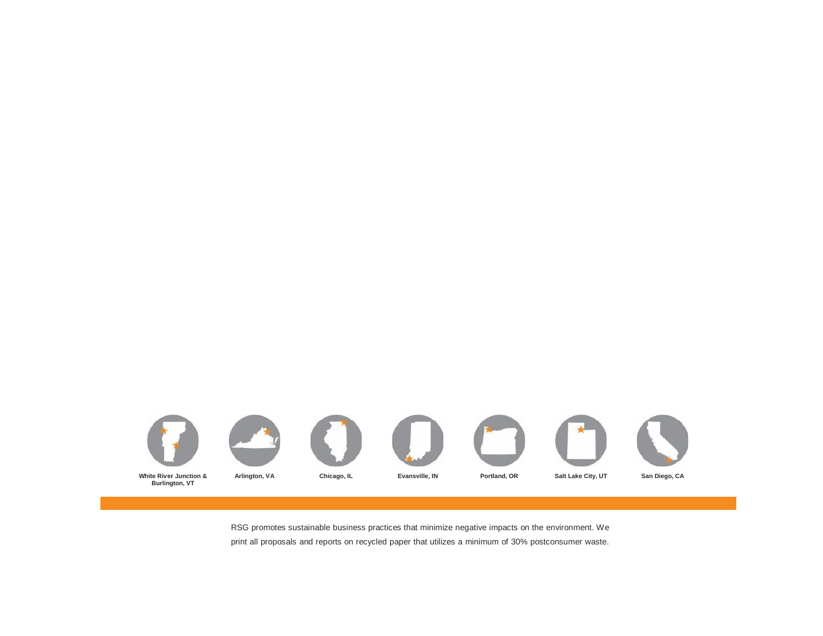

RSG promotes sustainable business practices that minimize negative impacts on the environment. We print all proposals and reports on recycled paper that utilizes a minimum of 30% postconsumer waste.